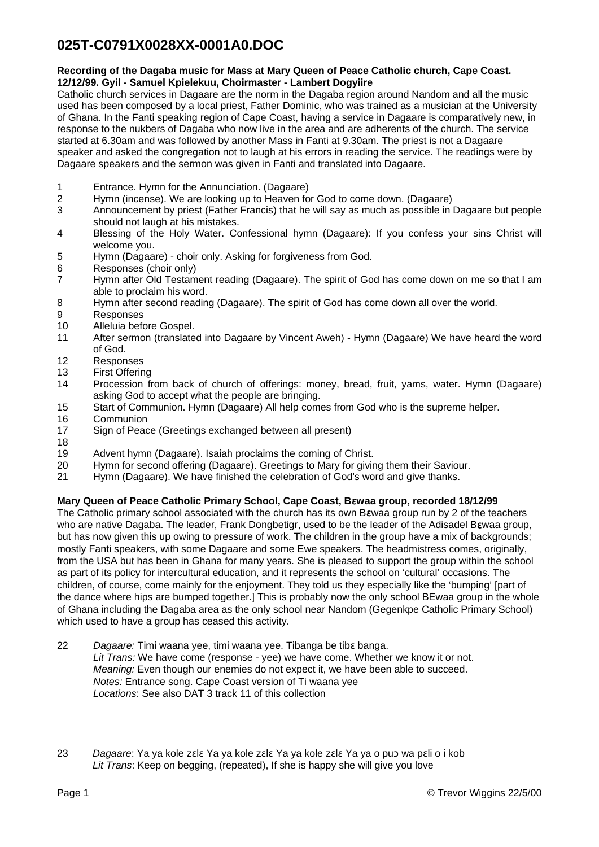# **025T-C0791X0028XX-0001A0.DOC**

### **Recording of the Dagaba music for Mass at Mary Queen of Peace Catholic church, Cape Coast. 12/12/99. Gyil - Samuel Kpielekuu, Choirmaster - Lambert Dogyiire**

Catholic church services in Dagaare are the norm in the Dagaba region around Nandom and all the music used has been composed by a local priest, Father Dominic, who was trained as a musician at the University of Ghana. In the Fanti speaking region of Cape Coast, having a service in Dagaare is comparatively new, in response to the nukbers of Dagaba who now live in the area and are adherents of the church. The service started at 6.30am and was followed by another Mass in Fanti at 9.30am. The priest is not a Dagaare speaker and asked the congregation not to laugh at his errors in reading the service. The readings were by Dagaare speakers and the sermon was given in Fanti and translated into Dagaare.

- 1 Entrance. Hymn for the Annunciation. (Dagaare)
- 2 Hymn (incense). We are looking up to Heaven for God to come down. (Dagaare)
- 3 Announcement by priest (Father Francis) that he will say as much as possible in Dagaare but people should not laugh at his mistakes.
- 4 Blessing of the Holy Water. Confessional hymn (Dagaare): If you confess your sins Christ will welcome you.
- 5 Hymn (Dagaare) choir only. Asking for forgiveness from God.
- 6 Responses (choir only)
- 7 Hymn after Old Testament reading (Dagaare). The spirit of God has come down on me so that I am able to proclaim his word.
- 8 Hymn after second reading (Dagaare). The spirit of God has come down all over the world.
- 9 Responses
- 10 Alleluia before Gospel.
- 11 After sermon (translated into Dagaare by Vincent Aweh) Hymn (Dagaare) We have heard the word of God.
- 12 Responses
- 13 First Offering
- 14 Procession from back of church of offerings: money, bread, fruit, yams, water. Hymn (Dagaare) asking God to accept what the people are bringing.
- 15 Start of Communion. Hymn (Dagaare) All help comes from God who is the supreme helper.
- 16 Communion
- 17 Sign of Peace (Greetings exchanged between all present)
- 18
- 19 Advent hymn (Dagaare). Isaiah proclaims the coming of Christ.<br>20 Hymn for second offering (Dagaare). Greetings to Mary for giving
- Hymn for second offering (Dagaare). Greetings to Mary for giving them their Saviour.
- 21 Hymn (Dagaare). We have finished the celebration of God's word and give thanks.

## **Mary Queen of Peace Catholic Primary School, Cape Coast, B**ɛ**waa group, recorded 18/12/99**

The Catholic primary school associated with the church has its own Bɛwaa group run by 2 of the teachers who are native Dagaba. The leader, Frank Dongbetigr, used to be the leader of the Adisadel BEwaa group, but has now given this up owing to pressure of work. The children in the group have a mix of backgrounds; mostly Fanti speakers, with some Dagaare and some Ewe speakers. The headmistress comes, originally, from the USA but has been in Ghana for many years. She is pleased to support the group within the school as part of its policy for intercultural education, and it represents the school on 'cultural' occasions. The children, of course, come mainly for the enjoyment. They told us they especially like the 'bumping' [part of the dance where hips are bumped together.] This is probably now the only school BEwaa group in the whole of Ghana including the Dagaba area as the only school near Nandom (Gegenkpe Catholic Primary School) which used to have a group has ceased this activity.

- 22 *Dagaare:* Timi waana yee, timi waana yee. Tibanga be tibɛ banga. *Lit Trans:* We have come (response - yee) we have come. Whether we know it or not. *Meaning:* Even though our enemies do not expect it, we have been able to succeed. *Notes:* Entrance song. Cape Coast version of Ti waana yee *Locations*: See also DAT 3 track 11 of this collection
- 23 *Dagaare*: Ya ya kole zɛlɛ Ya ya kole zɛlɛ Ya ya kole zɛlɛ Ya ya o puɔ wa pɛli o i kob *Lit Trans*: Keep on begging, (repeated), If she is happy she will give you love